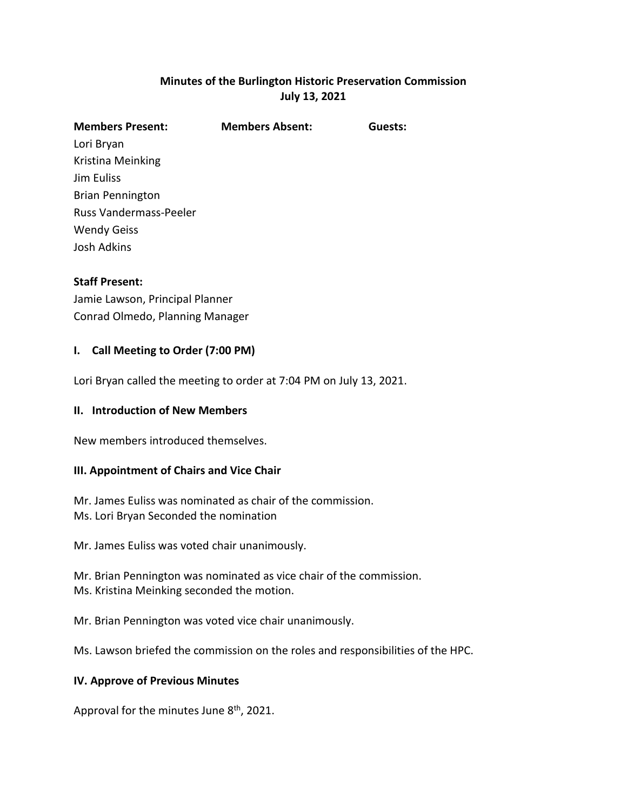# **Minutes of the Burlington Historic Preservation Commission July 13, 2021**

| <b>Members Absent:</b> | Guests: |
|------------------------|---------|
|                        |         |
|                        |         |
|                        |         |
|                        |         |
|                        |         |
|                        |         |
|                        |         |
|                        |         |

# **Staff Present:**

Jamie Lawson, Principal Planner Conrad Olmedo, Planning Manager

# **I. Call Meeting to Order (7:00 PM)**

Lori Bryan called the meeting to order at 7:04 PM on July 13, 2021.

#### **II. Introduction of New Members**

New members introduced themselves.

#### **III. Appointment of Chairs and Vice Chair**

Mr. James Euliss was nominated as chair of the commission. Ms. Lori Bryan Seconded the nomination

Mr. James Euliss was voted chair unanimously.

Mr. Brian Pennington was nominated as vice chair of the commission. Ms. Kristina Meinking seconded the motion.

Mr. Brian Pennington was voted vice chair unanimously.

Ms. Lawson briefed the commission on the roles and responsibilities of the HPC.

#### **IV. Approve of Previous Minutes**

Approval for the minutes June 8<sup>th</sup>, 2021.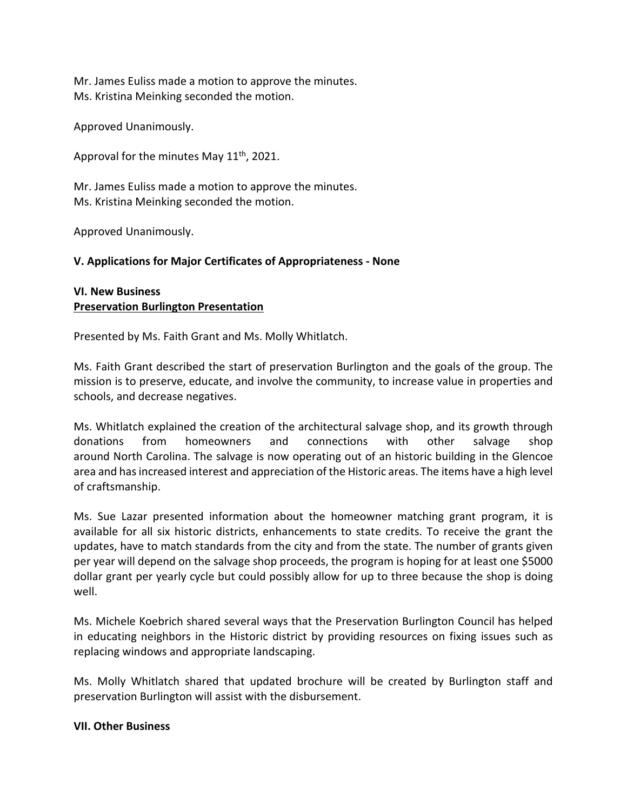Mr. James Euliss made a motion to approve the minutes. Ms. Kristina Meinking seconded the motion.

Approved Unanimously.

Approval for the minutes May  $11<sup>th</sup>$ , 2021.

Mr. James Euliss made a motion to approve the minutes. Ms. Kristina Meinking seconded the motion.

Approved Unanimously.

# **V. Applications for Major Certificates of Appropriateness - None**

### **VI. New Business Preservation Burlington Presentation**

Presented by Ms. Faith Grant and Ms. Molly Whitlatch.

Ms. Faith Grant described the start of preservation Burlington and the goals of the group. The mission is to preserve, educate, and involve the community, to increase value in properties and schools, and decrease negatives.

Ms. Whitlatch explained the creation of the architectural salvage shop, and its growth through donations from homeowners and connections with other salvage shop around North Carolina. The salvage is now operating out of an historic building in the Glencoe area and has increased interest and appreciation of the Historic areas. The items have a high level of craftsmanship.

Ms. Sue Lazar presented information about the homeowner matching grant program, it is available for all six historic districts, enhancements to state credits. To receive the grant the updates, have to match standards from the city and from the state. The number of grants given per year will depend on the salvage shop proceeds, the program is hoping for at least one \$5000 dollar grant per yearly cycle but could possibly allow for up to three because the shop is doing well.

Ms. Michele Koebrich shared several ways that the Preservation Burlington Council has helped in educating neighbors in the Historic district by providing resources on fixing issues such as replacing windows and appropriate landscaping.

Ms. Molly Whitlatch shared that updated brochure will be created by Burlington staff and preservation Burlington will assist with the disbursement.

#### **VII. Other Business**